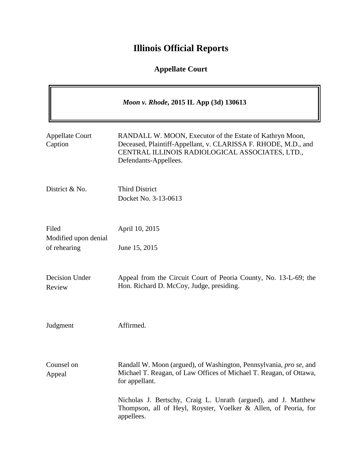# **Illinois Official Reports**

# **Appellate Court**

| Moon v. Rhode, 2015 IL App (3d) 130613        |                                                                                                                                                                                                        |
|-----------------------------------------------|--------------------------------------------------------------------------------------------------------------------------------------------------------------------------------------------------------|
| <b>Appellate Court</b><br>Caption             | RANDALL W. MOON, Executor of the Estate of Kathryn Moon,<br>Deceased, Plaintiff-Appellant, v. CLARISSA F. RHODE, M.D., and<br>CENTRAL ILLINOIS RADIOLOGICAL ASSOCIATES, LTD.,<br>Defendants-Appellees. |
| District & No.                                | <b>Third District</b><br>Docket No. 3-13-0613                                                                                                                                                          |
| Filed<br>Modified upon denial<br>of rehearing | April 10, 2015<br>June 15, 2015                                                                                                                                                                        |
| Decision Under<br>Review                      | Appeal from the Circuit Court of Peoria County, No. 13-L-69; the<br>Hon. Richard D. McCoy, Judge, presiding.                                                                                           |
| Judgment                                      | Affirmed.                                                                                                                                                                                              |
| Counsel on<br>Appeal                          | Randall W. Moon (argued), of Washington, Pennsylvania, pro se, and<br>Michael T. Reagan, of Law Offices of Michael T. Reagan, of Ottawa,<br>for appellant.                                             |
|                                               | Nicholas J. Bertschy, Craig L. Unrath (argued), and J. Matthew<br>Thompson, all of Heyl, Royster, Voelker & Allen, of Peoria, for<br>appellees.                                                        |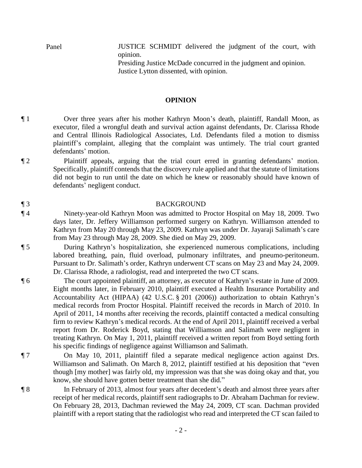Panel **IUSTICE SCHMIDT** delivered the judgment of the court, with opinion. Presiding Justice McDade concurred in the judgment and opinion.

Justice Lytton dissented, with opinion.

#### **OPINION**

¶ 1 Over three years after his mother Kathryn Moon's death, plaintiff, Randall Moon, as executor, filed a wrongful death and survival action against defendants, Dr. Clarissa Rhode and Central Illinois Radiological Associates, Ltd. Defendants filed a motion to dismiss plaintiff's complaint, alleging that the complaint was untimely. The trial court granted defendants' motion.

¶ 2 Plaintiff appeals, arguing that the trial court erred in granting defendants' motion. Specifically, plaintiff contends that the discovery rule applied and that the statute of limitations did not begin to run until the date on which he knew or reasonably should have known of defendants' negligent conduct.

# ¶ 3 BACKGROUND

- ¶ 4 Ninety-year-old Kathryn Moon was admitted to Proctor Hospital on May 18, 2009. Two days later, Dr. Jeffery Williamson performed surgery on Kathryn. Williamson attended to Kathryn from May 20 through May 23, 2009. Kathryn was under Dr. Jayaraji Salimath's care from May 23 through May 28, 2009. She died on May 29, 2009.
- ¶ 5 During Kathryn's hospitalization, she experienced numerous complications, including labored breathing, pain, fluid overload, pulmonary infiltrates, and pneumo-peritoneum. Pursuant to Dr. Salimath's order, Kathryn underwent CT scans on May 23 and May 24, 2009. Dr. Clarissa Rhode, a radiologist, read and interpreted the two CT scans.
- ¶ 6 The court appointed plaintiff, an attorney, as executor of Kathryn's estate in June of 2009. Eight months later, in February 2010, plaintiff executed a Health Insurance Portability and Accountability Act (HIPAA) (42 U.S.C. § 201 (2006)) authorization to obtain Kathryn's medical records from Proctor Hospital. Plaintiff received the records in March of 2010. In April of 2011, 14 months after receiving the records, plaintiff contacted a medical consulting firm to review Kathryn's medical records. At the end of April 2011, plaintiff received a verbal report from Dr. Roderick Boyd, stating that Williamson and Salimath were negligent in treating Kathryn. On May 1, 2011, plaintiff received a written report from Boyd setting forth his specific findings of negligence against Williamson and Salimath.
- 

¶ 7 On May 10, 2011, plaintiff filed a separate medical negligence action against Drs. Williamson and Salimath. On March 8, 2012, plaintiff testified at his deposition that "even though [my mother] was fairly old, my impression was that she was doing okay and that, you know, she should have gotten better treatment than she did."

¶ 8 In February of 2013, almost four years after decedent's death and almost three years after receipt of her medical records, plaintiff sent radiographs to Dr. Abraham Dachman for review. On February 28, 2013, Dachman reviewed the May 24, 2009, CT scan. Dachman provided plaintiff with a report stating that the radiologist who read and interpreted the CT scan failed to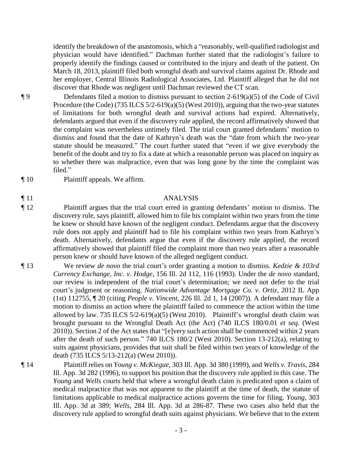identify the breakdown of the anastomosis, which a "reasonably, well-qualified radiologist and physician would have identified." Dachman further stated that the radiologist's failure to properly identify the findings caused or contributed to the injury and death of the patient. On March 18, 2013, plaintiff filed both wrongful death and survival claims against Dr. Rhode and her employer, Central Illinois Radiological Associates, Ltd. Plaintiff alleged that he did not discover that Rhode was negligent until Dachman reviewed the CT scan.

¶ 9 Defendants filed a motion to dismiss pursuant to section 2-619(a)(5) of the Code of Civil Procedure (the Code) (735 ILCS  $5/2$ -619(a)(5) (West 2010)), arguing that the two-year statutes of limitations for both wrongful death and survival actions had expired. Alternatively, defendants argued that even if the discovery rule applied, the record affirmatively showed that the complaint was nevertheless untimely filed. The trial court granted defendants' motion to dismiss and found that the date of Kathryn's death was the "date from which the two-year statute should be measured." The court further stated that "even if we give everybody the benefit of the doubt and try to fix a date at which a reasonable person was placed on inquiry as to whether there was malpractice, even that was long gone by the time the complaint was filed."

¶ 10 Plaintiff appeals. We affirm.

### ¶ 11 ANALYSIS

¶ 12 Plaintiff argues that the trial court erred in granting defendants' motion to dismiss. The discovery rule, says plaintiff, allowed him to file his complaint within two years from the time he knew or should have known of the negligent conduct. Defendants argue that the discovery rule does not apply and plaintiff had to file his complaint within two years from Kathryn's death. Alternatively, defendants argue that even if the discovery rule applied, the record affirmatively showed that plaintiff filed the complaint more than two years after a reasonable person knew or should have known of the alleged negligent conduct.

¶ 13 We review *de novo* the trial court's order granting a motion to dismiss. *Kedzie & 103rd Currency Exchange, Inc. v. Hodge*, 156 Ill. 2d 112, 116 (1993). Under the *de novo* standard, our review is independent of the trial court's determination; we need not defer to the trial court's judgment or reasoning. *Nationwide Advantage Mortgage Co. v. Ortiz*, 2012 IL App (1st) 112755, ¶ 20 (citing *People v. Vincent*, 226 Ill. 2d 1, 14 (2007)). A defendant may file a motion to dismiss an action where the plaintiff failed to commence the action within the time allowed by law. 735 ILCS 5/2-619(a)(5) (West 2010). Plaintiff's wrongful death claim was brought pursuant to the Wrongful Death Act (the Act) (740 ILCS 180/0.01 *et seq.* (West 2010)). Section 2 of the Act states that "[e]very such action shall be commenced within 2 years after the death of such person." 740 ILCS 180/2 (West 2010). Section 13-212(a), relating to suits against physicians, provides that suit shall be filed within two years of knowledge of the death (735 ILCS 5/13-212(a) (West 2010)).

¶ 14 Plaintiff relies on *Young v. McKiegue*, 303 Ill. App. 3d 380 (1999), and *Wells v. Travis*, 284 Ill. App. 3d 282 (1996), to support his position that the discovery rule applied in this case. The *Young* and *Wells* courts held that where a wrongful death claim is predicated upon a claim of medical malpractice that was not apparent to the plaintiff at the time of death, the statute of limitations applicable to medical malpractice actions governs the time for filing. *Young*, 303 Ill. App. 3d at 389; *Wells*, 284 Ill. App. 3d at 286-87. These two cases also held that the discovery rule applied to wrongful death suits against physicians. We believe that to the extent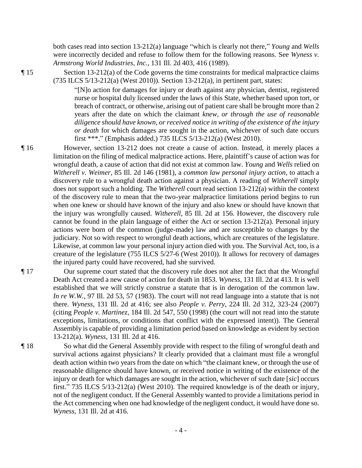both cases read into section 13-212(a) language "which is clearly not there," *Young* and *Wells*  were incorrectly decided and refuse to follow them for the following reasons. See *Wyness v. Armstrong World Industries, Inc.*, 131 Ill. 2d 403, 416 (1989).

¶ 15 Section 13-212(a) of the Code governs the time constraints for medical malpractice claims (735 ILCS 5/13-212(a) (West 2010)). Section 13-212(a), in pertinent part, states:

> "[N]o action for damages for injury or death against any physician, dentist, registered nurse or hospital duly licensed under the laws of this State, whether based upon tort, or breach of contract, or otherwise, arising out of patient care shall be brought more than 2 years after the date on which the claimant *knew, or through the use of reasonable diligence should have known, or received notice in writing of the existence of the injury or death* for which damages are sought in the action, whichever of such date occurs first \*\*\*." (Emphasis added.) 735 ILCS 5/13-212(a) (West 2010).

- ¶ 16 However, section 13-212 does not create a cause of action. Instead, it merely places a limitation on the filing of medical malpractice actions. Here, plaintiff's cause of action was for wrongful death, a cause of action that did not exist at common law. *Young* and *Wells* relied on *Witherell v. Weimer*, 85 Ill. 2d 146 (1981), a *common law personal injury action*, to attach a discovery rule to a wrongful death action against a physician. A reading of *Witherell* simply does not support such a holding. The *Witherell* court read section 13-212(a) within the context of the discovery rule to mean that the two-year malpractice limitations period begins to run when one knew or should have known of the injury and also knew or should have known that the injury was wrongfully caused. *Witherell*, 85 Ill. 2d at 156. However, the discovery rule cannot be found in the plain language of either the Act or section 13-212(a). Personal injury actions were born of the common (judge-made) law and are susceptible to changes by the judiciary. Not so with respect to wrongful death actions, which are creatures of the legislature. Likewise, at common law your personal injury action died with you. The Survival Act, too, is a creature of the legislature (755 ILCS 5/27-6 (West 2010)). It allows for recovery of damages the injured party could have recovered, had she survived.
- ¶ 17 Our supreme court stated that the discovery rule does not alter the fact that the Wrongful Death Act created a new cause of action for death in 1853. *Wyness*, 131 Ill. 2d at 413. It is well established that we will strictly construe a statute that is in derogation of the common law. *In re W.W.*, 97 Ill. 2d 53, 57 (1983). The court will not read language into a statute that is not there. *Wyness*, 131 Ill. 2d at 416; see also *People v. Perry*, 224 Ill. 2d 312, 323-24 (2007) (citing *People v. Martinez*, 184 Ill. 2d 547, 550 (1998) (the court will not read into the statute exceptions, limitations, or conditions that conflict with the expressed intent)). The General Assembly is capable of providing a limitation period based on knowledge as evident by section 13-212(a). *Wyness*, 131 Ill. 2d at 416.
- ¶ 18 So what did the General Assembly provide with respect to the filing of wrongful death and survival actions against physicians? It clearly provided that a claimant must file a wrongful death action within two years from the date on which "the claimant knew, or through the use of reasonable diligence should have known, or received notice in writing of the existence of the injury or death for which damages are sought in the action, whichever of such date [*sic*] occurs first." 735 ILCS 5/13-212(a) (West 2010). The required knowledge is of the death or injury, not of the negligent conduct. If the General Assembly wanted to provide a limitations period in the Act commencing when one had knowledge of the negligent conduct, it would have done so. *Wyness*, 131 Ill. 2d at 416.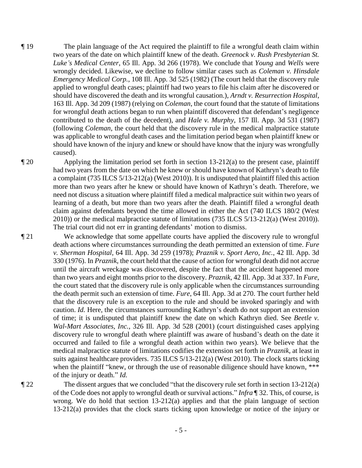¶ 19 The plain language of the Act required the plaintiff to file a wrongful death claim within two years of the date on which plaintiff knew of the death. *Greenock v. Rush Presbyterian St. Luke's Medical Center*, 65 Ill. App. 3d 266 (1978). We conclude that *Young* and *Wells* were wrongly decided. Likewise, we decline to follow similar cases such as *Coleman v. Hinsdale Emergency Medical Corp.*, 108 Ill. App. 3d 525 (1982) (The court held that the discovery rule applied to wrongful death cases; plaintiff had two years to file his claim after he discovered or should have discovered the death and its wrongful causation.), *Arndt v. Resurrection Hospital*, 163 Ill. App. 3d 209 (1987) (relying on *Coleman*, the court found that the statute of limitations for wrongful death actions began to run when plaintiff discovered that defendant's negligence contributed to the death of the decedent), and *Hale v. Murphy*, 157 Ill. App. 3d 531 (1987) (following *Coleman*, the court held that the discovery rule in the medical malpractice statute was applicable to wrongful death cases and the limitation period began when plaintiff knew or should have known of the injury and knew or should have know that the injury was wrongfully caused).

¶ 20 Applying the limitation period set forth in section 13-212(a) to the present case, plaintiff had two years from the date on which he knew or should have known of Kathryn's death to file a complaint (735 ILCS 5/13-212(a) (West 2010)). It is undisputed that plaintiff filed this action more than two years after he knew or should have known of Kathryn's death. Therefore, we need not discuss a situation where plaintiff filed a medical malpractice suit within two years of learning of a death, but more than two years after the death. Plaintiff filed a wrongful death claim against defendants beyond the time allowed in either the Act (740 ILCS 180/2 (West 2010)) or the medical malpractice statute of limitations (735 ILCS 5/13-212(a) (West 2010)). The trial court did not err in granting defendants' motion to dismiss.

¶ 21 We acknowledge that some appellate courts have applied the discovery rule to wrongful death actions where circumstances surrounding the death permitted an extension of time. *Fure v. Sherman Hospital*, 64 Ill. App. 3d 259 (1978); *Praznik v. Sport Aero, Inc.*, 42 Ill. App. 3d 330 (1976). In *Praznik*, the court held that the cause of action for wrongful death did not accrue until the aircraft wreckage was discovered, despite the fact that the accident happened more than two years and eight months prior to the discovery. *Praznik*, 42 Ill. App. 3d at 337. In *Fure*, the court stated that the discovery rule is only applicable when the circumstances surrounding the death permit such an extension of time. *Fure*, 64 Ill. App. 3d at 270. The court further held that the discovery rule is an exception to the rule and should be invoked sparingly and with caution. *Id.* Here, the circumstances surrounding Kathryn's death do not support an extension of time; it is undisputed that plaintiff knew the date on which Kathryn died. See *Beetle v. Wal-Mart Associates, Inc.*, 326 Ill. App. 3d 528 (2001) (court distinguished cases applying discovery rule to wrongful death where plaintiff was aware of husband's death on the date it occurred and failed to file a wrongful death action within two years). We believe that the medical malpractice statute of limitations codifies the extension set forth in *Praznik*, at least in suits against healthcare providers. 735 ILCS 5/13-212(a) (West 2010). The clock starts ticking when the plaintiff "knew, or through the use of reasonable diligence should have known, \*\*\* of the injury or death." *Id.*

¶ 22 The dissent argues that we concluded "that the discovery rule set forth in section 13-212(a) of the Code does not apply to wrongful death or survival actions." *Infra* ¶ 32. This, of course, is wrong. We do hold that section  $13{\text -}212(a)$  applies and that the plain language of section 13-212(a) provides that the clock starts ticking upon knowledge or notice of the injury or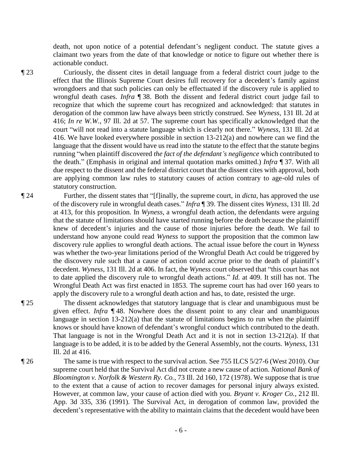death, not upon notice of a potential defendant's negligent conduct. The statute gives a claimant two years from the date of that knowledge or notice to figure out whether there is actionable conduct.

¶ 23 Curiously, the dissent cites in detail language from a federal district court judge to the effect that the Illinois Supreme Court desires full recovery for a decedent's family against wrongdoers and that such policies can only be effectuated if the discovery rule is applied to wrongful death cases. *Infra* ¶ 38. Both the dissent and federal district court judge fail to recognize that which the supreme court has recognized and acknowledged: that statutes in derogation of the common law have always been strictly construed. See *Wyness*, 131 Ill. 2d at 416; *In re W.W.*, 97 Ill. 2d at 57. The supreme court has specifically acknowledged that the court "will not read into a statute language which is clearly not there." *Wyness*, 131 Ill. 2d at 416. We have looked everywhere possible in section 13-212(a) and nowhere can we find the language that the dissent would have us read into the statute to the effect that the statute begins running "when plaintiff discovered *the fact of the defendant's negligence* which contributed to the death." (Emphasis in original and internal quotation marks omitted.) *Infra* ¶ 37. With all due respect to the dissent and the federal district court that the dissent cites with approval, both are applying common law rules to statutory causes of action contrary to age-old rules of statutory construction.

¶ 24 Further, the dissent states that "[f]inally, the supreme court, in *dicta*, has approved the use of the discovery rule in wrongful death cases." *Infra* ¶ 39. The dissent cites *Wyness*, 131 Ill. 2d at 413, for this proposition. In *Wyness*, a wrongful death action, the defendants were arguing that the statute of limitations should have started running before the death because the plaintiff knew of decedent's injuries and the cause of those injuries before the death. We fail to understand how anyone could read *Wyness* to support the proposition that the common law discovery rule applies to wrongful death actions. The actual issue before the court in *Wyness* was whether the two-year limitations period of the Wrongful Death Act could be triggered by the discovery rule such that a cause of action could accrue prior to the death of plaintiff's decedent. *Wyness*, 131 Ill. 2d at 406. In fact, the *Wyness* court observed that "this court has not to date applied the discovery rule to wrongful death actions." *Id.* at 409. It still has not. The Wrongful Death Act was first enacted in 1853. The supreme court has had over 160 years to apply the discovery rule to a wrongful death action and has, to date, resisted the urge.

¶ 25 The dissent acknowledges that statutory language that is clear and unambiguous must be given effect. *Infra* ¶ 48. Nowhere does the dissent point to any clear and unambiguous language in section  $13{\text -}212(a)$  that the statute of limitations begins to run when the plaintiff knows or should have known of defendant's wrongful conduct which contributed to the death. That language is not in the Wrongful Death Act and it is not in section 13-212(a). If that language is to be added, it is to be added by the General Assembly, not the courts. *Wyness*, 131 Ill. 2d at 416.

¶ 26 The same is true with respect to the survival action. See 755 ILCS 5/27-6 (West 2010). Our supreme court held that the Survival Act did not create a new cause of action. *National Bank of Bloomington v. Norfolk & Western Ry. Co.*, 73 Ill. 2d 160, 172 (1978). We suppose that is true to the extent that a cause of action to recover damages for personal injury always existed. However, at common law, your cause of action died with you. *Bryant v. Kroger Co.*, 212 Ill. App. 3d 335, 336 (1991). The Survival Act, in derogation of common law, provided the decedent's representative with the ability to maintain claims that the decedent would have been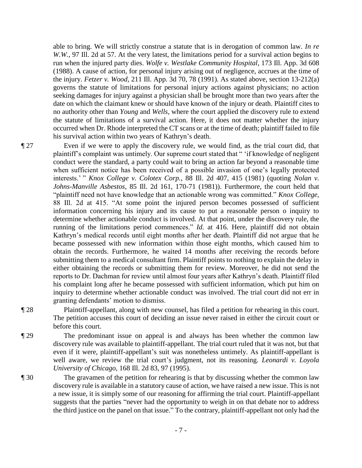able to bring. We will strictly construe a statute that is in derogation of common law. *In re W.W.*, 97 Ill. 2d at 57. At the very latest, the limitations period for a survival action begins to run when the injured party dies. *Wolfe v. Westlake Community Hospital*, 173 Ill. App. 3d 608 (1988). A cause of action, for personal injury arising out of negligence, accrues at the time of the injury. *Fetzer v. Wood*, 211 Ill. App. 3d 70, 78 (1991)*.* As stated above, section 13-212(a) governs the statute of limitations for personal injury actions against physicians; no action seeking damages for injury against a physician shall be brought more than two years after the date on which the claimant knew or should have known of the injury or death. Plaintiff cites to no authority other than *Young* and *Wells*, where the court applied the discovery rule to extend the statute of limitations of a survival action. Here, it does not matter whether the injury occurred when Dr. Rhode interpreted the CT scans or at the time of death; plaintiff failed to file his survival action within two years of Kathryn's death.

¶ 27 Even if we were to apply the discovery rule, we would find, as the trial court did, that plaintiff's complaint was untimely. Our supreme court stated that " 'if knowledge of negligent conduct were the standard, a party could wait to bring an action far beyond a reasonable time when sufficient notice has been received of a possible invasion of one's legally protected interests.' " *Knox College v. Colotex Corp.*, 88 Ill. 2d 407, 415 (1981) (quoting *Nolan v. Johns-Manville Asbestos*, 85 Ill. 2d 161, 170-71 (1981)). Furthermore, the court held that "plaintiff need not have knowledge that an actionable wrong was committed." *Knox College*, 88 Ill. 2d at 415. "At some point the injured person becomes possessed of sufficient information concerning his injury and its cause to put a reasonable person o inquiry to determine whether actionable conduct is involved. At that point, under the discovery rule, the running of the limitations period commences." *Id.* at 416. Here, plaintiff did not obtain Kathryn's medical records until eight months after her death. Plaintiff did not argue that he became possessed with new information within those eight months, which caused him to obtain the records. Furthermore, he waited 14 months after receiving the records before submitting them to a medical consultant firm. Plaintiff points to nothing to explain the delay in either obtaining the records or submitting them for review. Moreover, he did not send the reports to Dr. Dachman for review until almost four years after Kathryn's death. Plaintiff filed his complaint long after he became possessed with sufficient information, which put him on inquiry to determine whether actionable conduct was involved. The trial court did not err in granting defendants' motion to dismiss.

¶ 28 Plaintiff-appellant, along with new counsel, has filed a petition for rehearing in this court. The petition accuses this court of deciding an issue never raised in either the circuit court or before this court.

¶ 29 The predominant issue on appeal is and always has been whether the common law discovery rule was available to plaintiff-appellant. The trial court ruled that it was not, but that even if it were, plaintiff-appellant's suit was nonetheless untimely. As plaintiff-appellant is well aware, we review the trial court's judgment, not its reasoning. *Leonardi v. Loyola University of Chicago*, 168 Ill. 2d 83, 97 (1995).

¶ 30 The gravamen of the petition for rehearing is that by discussing whether the common law discovery rule is available in a statutory cause of action, we have raised a new issue. This is not a new issue, it is simply some of our reasoning for affirming the trial court. Plaintiff-appellant suggests that the parties "never had the opportunity to weigh in on that debate nor to address the third justice on the panel on that issue." To the contrary, plaintiff-appellant not only had the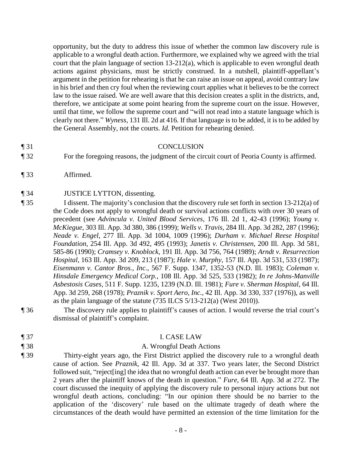opportunity, but the duty to address this issue of whether the common law discovery rule is applicable to a wrongful death action. Furthermore, we explained why we agreed with the trial court that the plain language of section 13-212(a), which is applicable to even wrongful death actions against physicians, must be strictly construed. In a nutshell, plaintiff-appellant's argument in the petition for rehearing is that he can raise an issue on appeal, avoid contrary law in his brief and then cry foul when the reviewing court applies what it believes to be the correct law to the issue raised. We are well aware that this decision creates a split in the districts, and, therefore, we anticipate at some point hearing from the supreme court on the issue. However, until that time, we follow the supreme court and "will not read into a statute language which is clearly not there." *Wyness*, 131 Ill. 2d at 416. If that language is to be added, it is to be added by the General Assembly, not the courts. *Id.* Petition for rehearing denied.

### ¶ 31 CONCLUSION

¶ 32 For the foregoing reasons, the judgment of the circuit court of Peoria County is affirmed.

¶ 33 Affirmed.

# ¶ 34 JUSTICE LYTTON, dissenting.

- ¶ 35 I dissent. The majority's conclusion that the discovery rule set forth in section 13-212(a) of the Code does not apply to wrongful death or survival actions conflicts with over 30 years of precedent (see *Advincula v. United Blood Services*, 176 Ill. 2d 1, 42-43 (1996); *Young v. McKiegue*, 303 Ill. App. 3d 380, 386 (1999); *Wells v. Travis*, 284 Ill. App. 3d 282, 287 (1996); *Neade v. Engel*, 277 Ill. App. 3d 1004, 1009 (1996); *Durham v. Michael Reese Hospital Foundation*, 254 Ill. App. 3d 492, 495 (1993); *Janetis v. Christensen*, 200 Ill. App. 3d 581, 585-86 (1990); *Cramsey v. Knoblock*, 191 Ill. App. 3d 756, 764 (1989); *Arndt v. Resurrection Hospital*, 163 Ill. App. 3d 209, 213 (1987); *Hale v. Murphy*, 157 Ill. App. 3d 531, 533 (1987); *Eisenmann v. Cantor Bros., Inc.*, 567 F. Supp. 1347, 1352-53 (N.D. Ill. 1983); *Coleman v. Hinsdale Emergency Medical Corp.*, 108 Ill. App. 3d 525, 533 (1982); *In re Johns-Manville Asbestosis Cases*, 511 F. Supp. 1235, 1239 (N.D. Ill. 1981); *Fure v. Sherman Hospital*, 64 Ill. App. 3d 259, 268 (1978); *Praznik v. Sport Aero, Inc.*, 42 Ill. App. 3d 330, 337 (1976)), as well as the plain language of the statute (735 ILCS 5/13-212(a) (West 2010)).
- ¶ 36 The discovery rule applies to plaintiff's causes of action. I would reverse the trial court's dismissal of plaintiff's complaint.
- ¶ 37 I. CASE LAW
- 
- 

# ¶ 38 A. Wrongful Death Actions

¶ 39 Thirty-eight years ago, the First District applied the discovery rule to a wrongful death cause of action. See *Praznik*, 42 Ill. App. 3d at 337. Two years later, the Second District followed suit, "reject[ing] the idea that no wrongful death action can ever be brought more than 2 years after the plaintiff knows of the death in question." *Fure*, 64 Ill. App. 3d at 272. The court discussed the inequity of applying the discovery rule to personal injury actions but not wrongful death actions, concluding: "In our opinion there should be no barrier to the application of the 'discovery' rule based on the ultimate tragedy of death where the circumstances of the death would have permitted an extension of the time limitation for the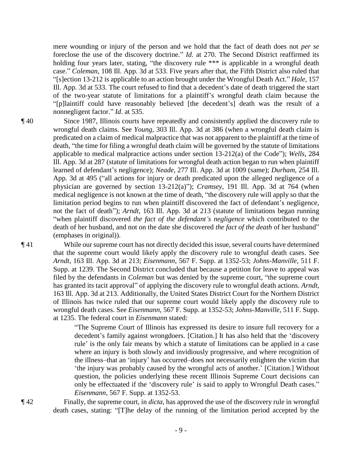mere wounding or injury of the person and we hold that the fact of death does not *per se* foreclose the use of the discovery doctrine." *Id*. at 270. The Second District reaffirmed its holding four years later, stating, "the discovery rule \*\*\* is applicable in a wrongful death case." *Coleman*, 108 Ill. App. 3d at 533. Five years after that, the Fifth District also ruled that "[s]ection 13-212 is applicable to an action brought under the Wrongful Death Act." *Hale*, 157 Ill. App. 3d at 533. The court refused to find that a decedent's date of death triggered the start of the two-year statute of limitations for a plaintiff's wrongful death claim because the "[p]laintiff could have reasonably believed [the decedent's] death was the result of a nonnegligent factor." *Id*. at 535.

¶ 40 Since 1987, Illinois courts have repeatedly and consistently applied the discovery rule to wrongful death claims. See *Young*, 303 Ill. App. 3d at 386 (when a wrongful death claim is predicated on a claim of medical malpractice that was not apparent to the plaintiff at the time of death, "the time for filing a wrongful death claim will be governed by the statute of limitations applicable to medical malpractice actions under section 13-212(a) of the Code"); *Wells*, 284 Ill. App. 3d at 287 (statute of limitations for wrongful death action began to run when plaintiff learned of defendant's negligence); *Neade*, 277 Ill. App. 3d at 1009 (same); *Durham*, 254 Ill. App. 3d at 495 ("all actions for injury or death predicated upon the alleged negligence of a physician are governed by section 13-212(a)"); *Cramsey*, 191 Ill. App. 3d at 764 (when medical negligence is not known at the time of death, "the discovery rule will apply so that the limitation period begins to run when plaintiff discovered the fact of defendant's negligence, not the fact of death"); *Arndt*, 163 Ill. App. 3d at 213 (statute of limitations began running "when plaintiff discovered *the fact of the defendant's negligence* which contributed to the death of her husband, and not on the date she discovered *the fact of the death* of her husband" (emphases in original)).

¶ 41 While our supreme court has not directly decided this issue, several courts have determined that the supreme court would likely apply the discovery rule to wrongful death cases. See *Arndt*, 163 Ill. App. 3d at 213; *Eisenmann*, 567 F. Supp. at 1352-53; *Johns-Manville*, 511 F. Supp. at 1239. The Second District concluded that because a petition for leave to appeal was filed by the defendants in *Coleman* but was denied by the supreme court, "the supreme court has granted its tacit approval" of applying the discovery rule to wrongful death actions. *Arndt*, 163 Ill. App. 3d at 213. Additionally, the United States District Court for the Northern District of Illinois has twice ruled that our supreme court would likely apply the discovery rule to wrongful death cases. See *Eisenmann*, 567 F. Supp. at 1352-53; *Johns-Manville*, 511 F. Supp. at 1235. The federal court in *Eisenmann* stated:

> "The Supreme Court of Illinois has expressed its desire to insure full recovery for a decedent's family against wrongdoers. [Citation.] It has also held that the 'discovery rule' is the only fair means by which a statute of limitations can be applied in a case where an injury is both slowly and invidiously progressive, and where recognition of the illness–that an 'injury' has occurred–does not necessarily enlighten the victim that 'the injury was probably caused by the wrongful acts of another.' [Citation.] Without question, the policies underlying these recent Illinois Supreme Court decisions can only be effectuated if the 'discovery rule' is said to apply to Wrongful Death cases." *Eisenmann*, 567 F. Supp. at 1352-53.

¶ 42 Finally, the supreme court, in *dicta*, has approved the use of the discovery rule in wrongful death cases, stating: "[T]he delay of the running of the limitation period accepted by the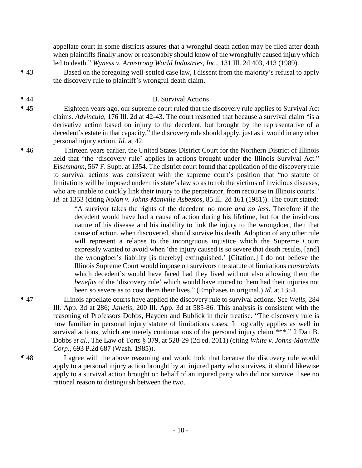appellate court in some districts assures that a wrongful death action may be filed after death when plaintiffs finally know or reasonably should know of the wrongfully caused injury which led to death." *Wyness v. Armstrong World Industries, Inc*., 131 Ill. 2d 403, 413 (1989).

¶ 43 Based on the foregoing well-settled case law, I dissent from the majority's refusal to apply the discovery rule to plaintiff's wrongful death claim.

# ¶ 44 B. Survival Actions

¶ 45 Eighteen years ago, our supreme court ruled that the discovery rule applies to Survival Act claims. *Advincula*, 176 Ill. 2d at 42-43. The court reasoned that because a survival claim "is a derivative action based on injury to the decedent, but brought by the representative of a decedent's estate in that capacity," the discovery rule should apply, just as it would in any other personal injury action. *Id*. at 42.

¶ 46 Thirteen years earlier, the United States District Court for the Northern District of Illinois held that "the 'discovery rule' applies in actions brought under the Illinois Survival Act." *Eisenmann*, 567 F. Supp. at 1354. The district court found that application of the discovery rule to survival actions was consistent with the supreme court's position that "no statute of limitations will be imposed under this state's law so as to rob the victims of invidious diseases, who are unable to quickly link their injury to the perpetrator, from recourse in Illinois courts." *Id*. at 1353 (citing *Nolan v. Johns-Manville Asbestos*, 85 Ill. 2d 161 (1981)). The court stated:

> "A survivor takes the rights of the decedent–no more *and no less*. Therefore if the decedent would have had a cause of action during his lifetime, but for the invidious nature of his disease and his inability to link the injury to the wrongdoer, then that cause of action, when discovered, should survive his death. Adoption of any other rule will represent a relapse to the incongruous injustice which the Supreme Court expressly wanted to avoid when 'the injury caused is so severe that death results, [and] the wrongdoer's liability [is thereby] extinguished.' [Citation.] I do not believe the Illinois Supreme Court would impose on survivors the statute of limitations *constraints* which decedent's would have faced had they lived without also allowing them the *benefits* of the 'discovery rule' which would have inured to them had their injuries not been so severe as to cost them their lives." (Emphases in original.) *Id*. at 1354.

- ¶ 47 Illinois appellate courts have applied the discovery rule to survival actions. See *Wells*, 284 Ill. App. 3d at 286; *Janetis*, 200 Ill. App. 3d at 585-86. This analysis is consistent with the reasoning of Professors Dobbs, Hayden and Bublick in their treatise. "The discovery rule is now familiar in personal injury statute of limitations cases. It logically applies as well in survival actions, which are merely continuations of the personal injury claim \*\*\*." 2 Dan B. Dobbs *et al.*, The Law of Torts § 379, at 528-29 (2d ed. 2011) (citing *White v. Johns-Manville Corp.*, 693 P.2d 687 (Wash. 1985)).
- ¶ 48 I agree with the above reasoning and would hold that because the discovery rule would apply to a personal injury action brought by an injured party who survives, it should likewise apply to a survival action brought on behalf of an injured party who did not survive. I see no rational reason to distinguish between the two.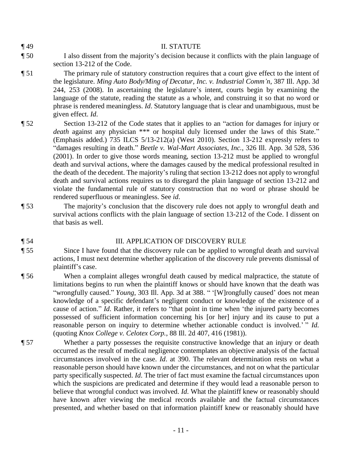#### ¶ 49 II. STATUTE

- ¶ 50 I also dissent from the majority's decision because it conflicts with the plain language of section 13-212 of the Code.
- ¶ 51 The primary rule of statutory construction requires that a court give effect to the intent of the legislature. *Ming Auto Body/Ming of Decatur, Inc. v. Industrial Comm'n*, 387 Ill. App. 3d 244, 253 (2008). In ascertaining the legislature's intent, courts begin by examining the language of the statute, reading the statute as a whole, and construing it so that no word or phrase is rendered meaningless. *Id*. Statutory language that is clear and unambiguous, must be given effect. *Id*.
- ¶ 52 Section 13-212 of the Code states that it applies to an "action for damages for injury or *death* against any physician \*\*\* or hospital duly licensed under the laws of this State." (Emphasis added.) 735 ILCS 5/13-212(a) (West 2010). Section 13-212 expressly refers to "damages resulting in death." *Beetle v. Wal-Mart Associates, Inc.*, 326 Ill. App. 3d 528, 536 (2001). In order to give those words meaning, section 13-212 must be applied to wrongful death and survival actions, where the damages caused by the medical professional resulted in the death of the decedent. The majority's ruling that section 13-212 does not apply to wrongful death and survival actions requires us to disregard the plain language of section 13-212 and violate the fundamental rule of statutory construction that no word or phrase should be rendered superfluous or meaningless. See *id*.
- ¶ 53 The majority's conclusion that the discovery rule does not apply to wrongful death and survival actions conflicts with the plain language of section 13-212 of the Code. I dissent on that basis as well.

## ¶ 54 III. APPLICATION OF DISCOVERY RULE

- ¶ 55 Since I have found that the discovery rule can be applied to wrongful death and survival actions, I must next determine whether application of the discovery rule prevents dismissal of plaintiff's case.
- ¶ 56 When a complaint alleges wrongful death caused by medical malpractice, the statute of limitations begins to run when the plaintiff knows or should have known that the death was "wrongfully caused." *Young*, 303 Ill. App. 3d at 388. " '[W]rongfully caused' does not mean knowledge of a specific defendant's negligent conduct or knowledge of the existence of a cause of action." *Id*. Rather, it refers to "that point in time when 'the injured party becomes possessed of sufficient information concerning his [or her] injury and its cause to put a reasonable person on inquiry to determine whether actionable conduct is involved.' " *Id.* (quoting *Knox College v. Celotex Corp.*, 88 Ill. 2d 407, 416 (1981)).
- ¶ 57 Whether a party possesses the requisite constructive knowledge that an injury or death occurred as the result of medical negligence contemplates an objective analysis of the factual circumstances involved in the case. *Id*. at 390. The relevant determination rests on what a reasonable person should have known under the circumstances, and not on what the particular party specifically suspected. *Id*. The trier of fact must examine the factual circumstances upon which the suspicions are predicated and determine if they would lead a reasonable person to believe that wrongful conduct was involved. *Id*. What the plaintiff knew or reasonably should have known after viewing the medical records available and the factual circumstances presented, and whether based on that information plaintiff knew or reasonably should have